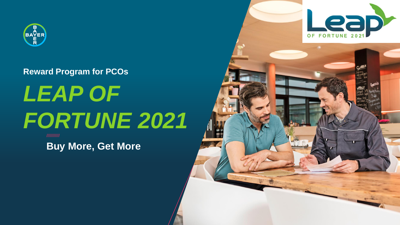

#### **Reward Program for PCOs**

# *LEAP OF FORTUNE 2021*

**Buy More, Get More**

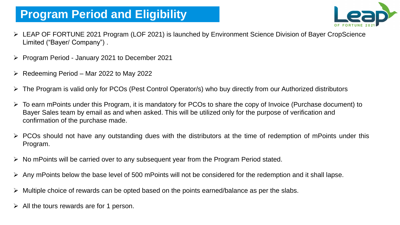# **Program Period and Eligibility**



- ➢ LEAP OF FORTUNE 2021 Program (LOF 2021) is launched by Environment Science Division of Bayer CropScience Limited ("Bayer/ Company") .
- ➢ Program Period January 2021 to December 2021
- ➢ Redeeming Period Mar 2022 to May 2022
- ➢ The Program is valid only for PCOs (Pest Control Operator/s) who buy directly from our Authorized distributors
- ➢ To earn mPoints under this Program, it is mandatory for PCOs to share the copy of Invoice (Purchase document) to Bayer Sales team by email as and when asked. This will be utilized only for the purpose of verification and confirmation of the purchase made.
- $\triangleright$  PCOs should not have any outstanding dues with the distributors at the time of redemption of mPoints under this Program.
- ➢ No mPoints will be carried over to any subsequent year from the Program Period stated.
- ➢ Any mPoints below the base level of 500 mPoints will not be considered for the redemption and it shall lapse.
- ➢ Multiple choice of rewards can be opted based on the points earned/balance as per the slabs.
- $\triangleright$  All the tours rewards are for 1 person.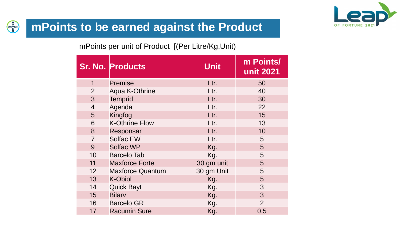

#### **BAYER mPoints to be earned against the Product**

mPoints per unit of Product [(Per Litre/Kg,Unit)

|                 | <b>Sr. No. Products</b> | <b>Unit</b> | m Points/<br>unit 2021 |
|-----------------|-------------------------|-------------|------------------------|
| $\mathbf 1$     | <b>Premise</b>          | Ltr.        | 50                     |
| $\overline{2}$  | <b>Aqua K-Othrine</b>   | Ltr.        | 40                     |
| 3               | <b>Temprid</b>          | Ltr.        | 30                     |
| $\overline{4}$  | Agenda                  | Ltr.        | 22                     |
| 5               | Kingfog                 | Ltr.        | 15                     |
| 6               | <b>K-Othrine Flow</b>   | Ltr.        | 13                     |
| 8               | Responsar               | Ltr.        | 10                     |
| $\overline{7}$  | <b>Solfac EW</b>        | Ltr.        | $5\overline{)}$        |
| 9               | Solfac WP               | Kg.         | 5                      |
| 10              | <b>Barcelo Tab</b>      | Kg.         | 5                      |
| 11              | <b>Maxforce Forte</b>   | 30 gm unit  | 5                      |
| 12              | <b>Maxforce Quantum</b> | 30 gm Unit  | 5                      |
| 13              | <b>K-Obiol</b>          | Kg.         | 5                      |
| 14              | <b>Quick Bayt</b>       | Kg.         | 3                      |
| 15 <sup>1</sup> | <b>Bilarv</b>           | Kg.         | $\overline{3}$         |
| 16 <sup>1</sup> | <b>Barcelo GR</b>       | Kg.         | $\overline{2}$         |
| 17              | <b>Racumin Sure</b>     | Kg.         | 0.5                    |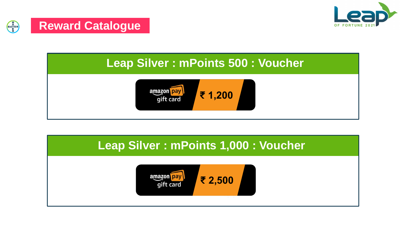



## **Leap Silver : mPoints 500 : Voucher**



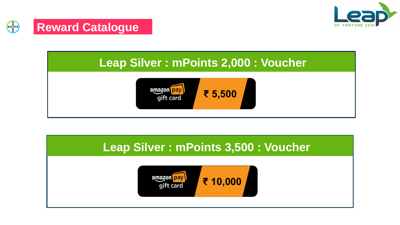







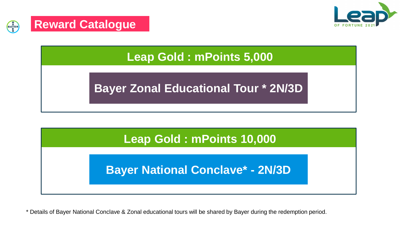





# **Bayer Zonal Educational Tour \* 2N/3D**



## **Bayer National Conclave\* - 2N/3D**

\* Details of Bayer National Conclave & Zonal educational tours will be shared by Bayer during the redemption period.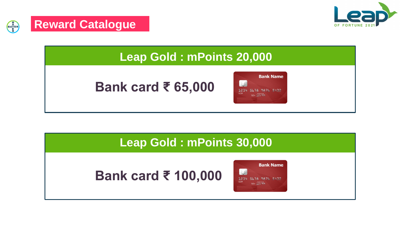



**Reward Catalogue**

BAYER<br>BAYER

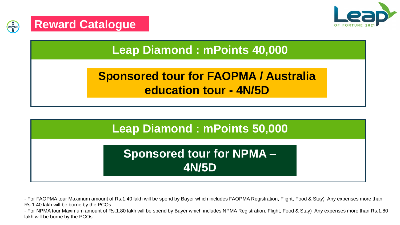



**Leap Diamond : mPoints 40,000**

# **Sponsored tour for FAOPMA / Australia education tour - 4N/5D**



- For FAOPMA tour Maximum amount of Rs.1.40 lakh will be spend by Bayer which includes FAOPMA Registration, Flight, Food & Stay) Any expenses more than Rs.1.40 lakh will be borne by the PCOs

- For NPMA tour Maximum amount of Rs.1.80 lakh will be spend by Bayer which includes NPMA Registration, Flight, Food & Stay) Any expenses more than Rs.1.80 lakh will be borne by the PCOs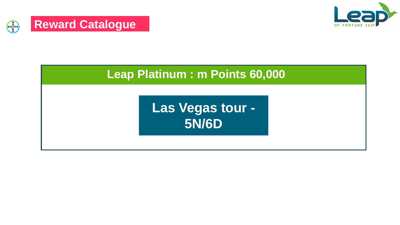



#### **Leap Platinum : m Points 60,000**

**Las Vegas tour - 5N/6D**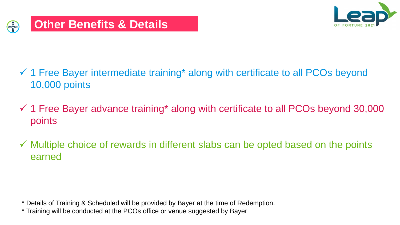

- ✓ 1 Free Bayer intermediate training\* along with certificate to all PCOs beyond 10,000 points
- $\checkmark$  1 Free Bayer advance training\* along with certificate to all PCOs beyond 30,000 points
- $\checkmark$  Multiple choice of rewards in different slabs can be opted based on the points earned

\* Details of Training & Scheduled will be provided by Bayer at the time of Redemption.

\* Training will be conducted at the PCOs office or venue suggested by Bayer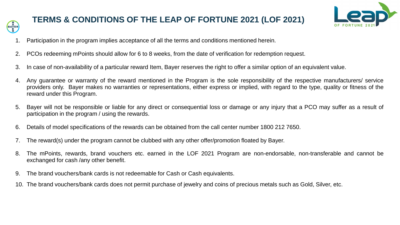

#### **TERMS & CONDITIONS OF THE LEAP OF FORTUNE 2021 (LOF 2021)**



- Participation in the program implies acceptance of all the terms and conditions mentioned herein.
- 2. PCOs redeeming mPoints should allow for 6 to 8 weeks, from the date of verification for redemption request.
- 3. In case of non-availability of a particular reward Item, Bayer reserves the right to offer a similar option of an equivalent value.
- 4. Any guarantee or warranty of the reward mentioned in the Program is the sole responsibility of the respective manufacturers/ service providers only. Bayer makes no warranties or representations, either express or implied, with regard to the type, quality or fitness of the reward under this Program.
- 5. Bayer will not be responsible or liable for any direct or consequential loss or damage or any injury that a PCO may suffer as a result of participation in the program / using the rewards.
- 6. Details of model specifications of the rewards can be obtained from the call center number 1800 212 7650.
- The reward(s) under the program cannot be clubbed with any other offer/promotion floated by Bayer.
- 8. The mPoints, rewards, brand vouchers etc. earned in the LOF 2021 Program are non-endorsable, non-transferable and cannot be exchanged for cash /any other benefit.
- 9. The brand vouchers/bank cards is not redeemable for Cash or Cash equivalents.
- 10. The brand vouchers/bank cards does not permit purchase of jewelry and coins of precious metals such as Gold, Silver, etc.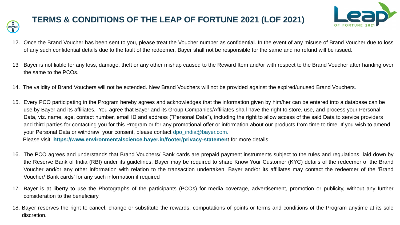

#### **TERMS & CONDITIONS OF THE LEAP OF FORTUNE 2021 (LOF 2021)**



- 12. Once the Brand Voucher has been sent to you, please treat the Voucher number as confidential. In the event of any misuse of Brand Voucher due to loss of any such confidential details due to the fault of the redeemer, Bayer shall not be responsible for the same and no refund will be issued.
- 13 Bayer is not liable for any loss, damage, theft or any other mishap caused to the Reward Item and/or with respect to the Brand Voucher after handing over the same to the PCOs.
- 14. The validity of Brand Vouchers will not be extended. New Brand Vouchers will not be provided against the expired/unused Brand Vouchers.
- 15. Every PCO participating in the Program hereby agrees and acknowledges that the information given by him/her can be entered into a database can be use by Bayer and its affiliates. You agree that Bayer and its Group Companies/Affiliates shall have the right to store, use, and process your Personal Data, viz. name, age, contact number, email ID and address ("Personal Data"), including the right to allow access of the said Data to service providers and third parties for contacting you for this Program or for any promotional offer or information about our products from time to time. If you wish to amend your Personal Data or withdraw your consent, please contact dpo india@bayer.com.

Please visit **https://www.environmentalscience.bayer.in/footer/privacy-statemen**t for more details

- 16. The PCO agrees and understands that Brand Vouchers/ Bank cards are prepaid payment instruments subject to the rules and regulations laid down by the Reserve Bank of India (RBI) under its guidelines. Bayer may be required to share Know Your Customer (KYC) details of the redeemer of the Brand Voucher and/or any other information with relation to the transaction undertaken. Bayer and/or its affiliates may contact the redeemer of the 'Brand Voucher/ Bank cards' for any such information if required
- 17. Bayer is at liberty to use the Photographs of the participants (PCOs) for media coverage, advertisement, promotion or publicity, without any further consideration to the beneficiary.
- 18. Bayer reserves the right to cancel, change or substitute the rewards, computations of points or terms and conditions of the Program anytime at its sole discretion.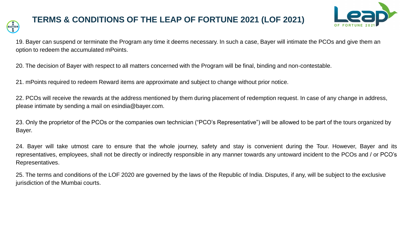

#### **TERMS & CONDITIONS OF THE LEAP OF FORTUNE 2021 (LOF 2021)**



19. Bayer can suspend or terminate the Program any time it deems necessary. In such a case, Bayer will intimate the PCOs and give them an option to redeem the accumulated mPoints.

20. The decision of Bayer with respect to all matters concerned with the Program will be final, binding and non-contestable.

21. mPoints required to redeem Reward items are approximate and subject to change without prior notice.

22. PCOs will receive the rewards at the address mentioned by them during placement of redemption request. In case of any change in address, please intimate by sending a mail on esindia@bayer.com.

23. Only the proprietor of the PCOs or the companies own technician ("PCO's Representative") will be allowed to be part of the tours organized by Bayer.

24. Bayer will take utmost care to ensure that the whole journey, safety and stay is convenient during the Tour. However, Bayer and its representatives, employees, shall not be directly or indirectly responsible in any manner towards any untoward incident to the PCOs and / or PCO's Representatives.

25. The terms and conditions of the LOF 2020 are governed by the laws of the Republic of India. Disputes, if any, will be subject to the exclusive jurisdiction of the Mumbai courts.